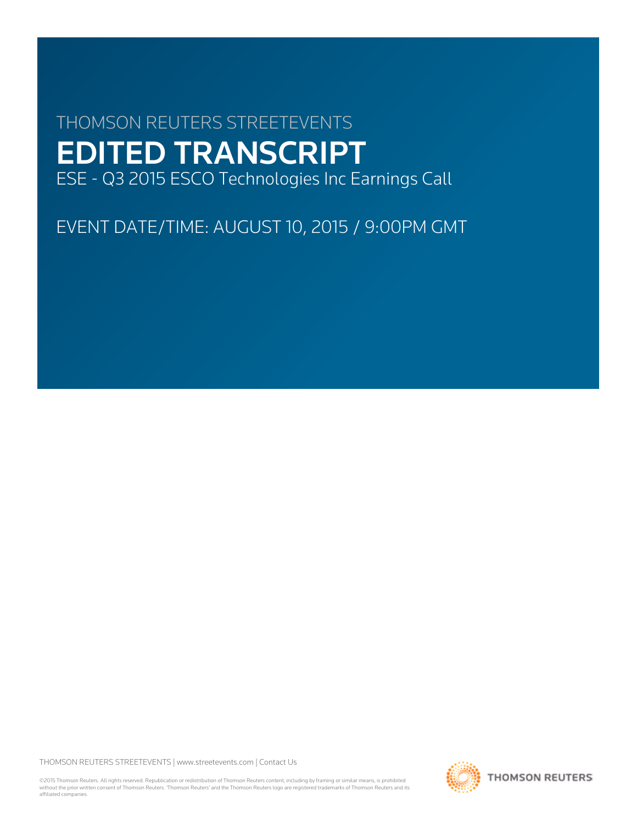# THOMSON REUTERS STREETEVENTS EDITED TRANSCRIPT ESE - Q3 2015 ESCO Technologies Inc Earnings Call

EVENT DATE/TIME: AUGUST 10, 2015 / 9:00PM GMT

THOMSON REUTERS STREETEVENTS | [www.streetevents.com](http://www.streetevents.com) | [Contact Us](http://www010.streetevents.com/contact.asp)

©2015 Thomson Reuters. All rights reserved. Republication or redistribution of Thomson Reuters content, including by framing or similar means, is prohibited without the prior written consent of Thomson Reuters. 'Thomson Reuters' and the Thomson Reuters logo are registered trademarks of Thomson Reuters and its affiliated companies.

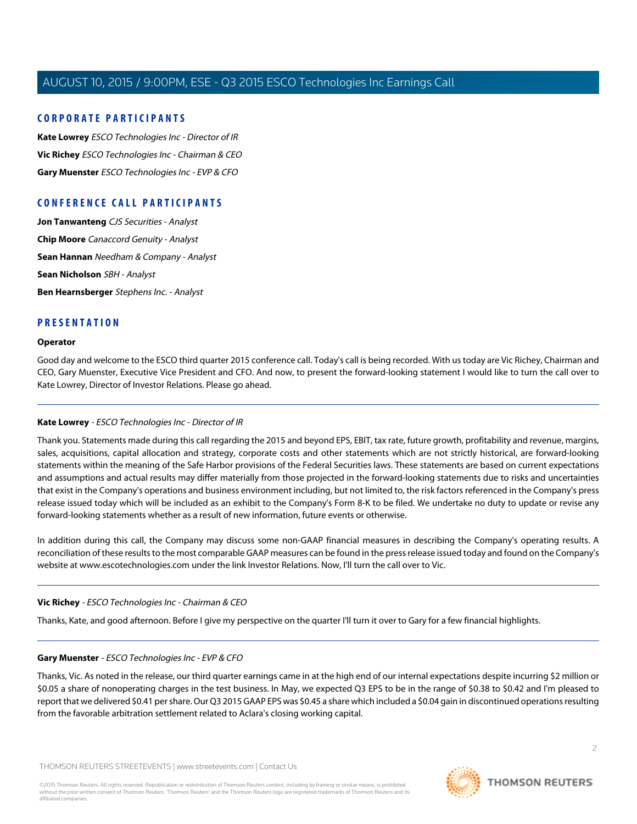#### **CORPORATE PARTICIPANTS**

**[Kate Lowrey](#page-1-0)** ESCO Technologies Inc - Director of IR **[Vic Richey](#page-1-1)** ESCO Technologies Inc - Chairman & CEO **[Gary Muenster](#page-1-2)** ESCO Technologies Inc - EVP & CFO

## **CONFERENCE CALL PARTICIPANTS**

**[Jon Tanwanteng](#page-3-0)** CJS Securities - Analyst **[Chip Moore](#page-5-0)** Canaccord Genuity - Analyst **[Sean Hannan](#page-7-0)** Needham & Company - Analyst **[Sean Nicholson](#page-9-0)** SBH - Analyst **[Ben Hearnsberger](#page-9-1)** Stephens Inc. - Analyst

#### **PRESENTATION**

#### **Operator**

<span id="page-1-0"></span>Good day and welcome to the ESCO third quarter 2015 conference call. Today's call is being recorded. With us today are Vic Richey, Chairman and CEO, Gary Muenster, Executive Vice President and CFO. And now, to present the forward-looking statement I would like to turn the call over to Kate Lowrey, Director of Investor Relations. Please go ahead.

#### **Kate Lowrey** - ESCO Technologies Inc - Director of IR

Thank you. Statements made during this call regarding the 2015 and beyond EPS, EBIT, tax rate, future growth, profitability and revenue, margins, sales, acquisitions, capital allocation and strategy, corporate costs and other statements which are not strictly historical, are forward-looking statements within the meaning of the Safe Harbor provisions of the Federal Securities laws. These statements are based on current expectations and assumptions and actual results may differ materially from those projected in the forward-looking statements due to risks and uncertainties that exist in the Company's operations and business environment including, but not limited to, the risk factors referenced in the Company's press release issued today which will be included as an exhibit to the Company's Form 8-K to be filed. We undertake no duty to update or revise any forward-looking statements whether as a result of new information, future events or otherwise.

<span id="page-1-1"></span>In addition during this call, the Company may discuss some non-GAAP financial measures in describing the Company's operating results. A reconciliation of these results to the most comparable GAAP measures can be found in the press release issued today and found on the Company's website at www.escotechnologies.com under the link Investor Relations. Now, I'll turn the call over to Vic.

#### <span id="page-1-2"></span>**Vic Richey** - ESCO Technologies Inc - Chairman & CEO

Thanks, Kate, and good afternoon. Before I give my perspective on the quarter I'll turn it over to Gary for a few financial highlights.

#### **Gary Muenster** - ESCO Technologies Inc - EVP & CFO

Thanks, Vic. As noted in the release, our third quarter earnings came in at the high end of our internal expectations despite incurring \$2 million or \$0.05 a share of nonoperating charges in the test business. In May, we expected Q3 EPS to be in the range of \$0.38 to \$0.42 and I'm pleased to report that we delivered \$0.41 per share. Our Q3 2015 GAAP EPS was \$0.45 a share which included a \$0.04 gain in discontinued operations resulting from the favorable arbitration settlement related to Aclara's closing working capital.

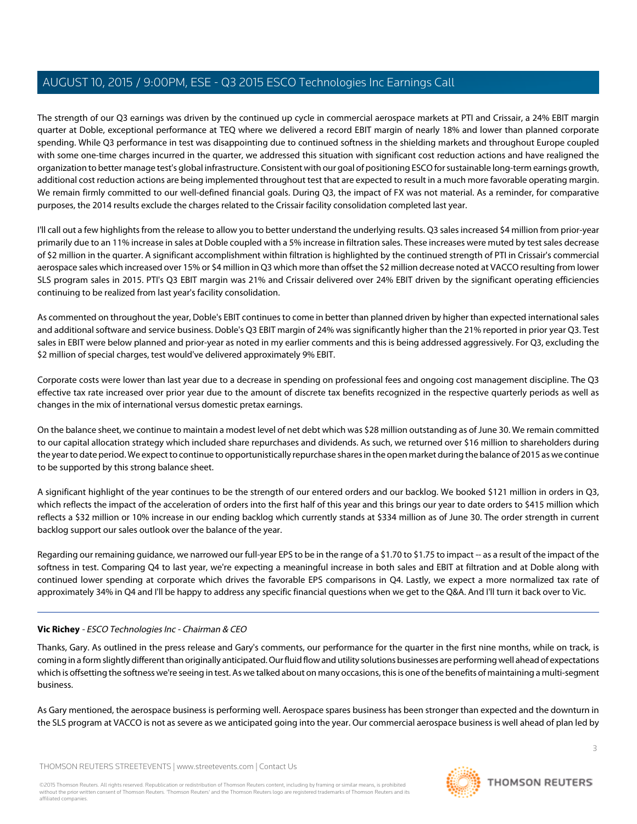The strength of our Q3 earnings was driven by the continued up cycle in commercial aerospace markets at PTI and Crissair, a 24% EBIT margin quarter at Doble, exceptional performance at TEQ where we delivered a record EBIT margin of nearly 18% and lower than planned corporate spending. While Q3 performance in test was disappointing due to continued softness in the shielding markets and throughout Europe coupled with some one-time charges incurred in the quarter, we addressed this situation with significant cost reduction actions and have realigned the organization to better manage test's global infrastructure. Consistent with our goal of positioning ESCO for sustainable long-term earnings growth, additional cost reduction actions are being implemented throughout test that are expected to result in a much more favorable operating margin. We remain firmly committed to our well-defined financial goals. During Q3, the impact of FX was not material. As a reminder, for comparative purposes, the 2014 results exclude the charges related to the Crissair facility consolidation completed last year.

I'll call out a few highlights from the release to allow you to better understand the underlying results. Q3 sales increased \$4 million from prior-year primarily due to an 11% increase in sales at Doble coupled with a 5% increase in filtration sales. These increases were muted by test sales decrease of \$2 million in the quarter. A significant accomplishment within filtration is highlighted by the continued strength of PTI in Crissair's commercial aerospace sales which increased over 15% or \$4 million in Q3 which more than offset the \$2 million decrease noted at VACCO resulting from lower SLS program sales in 2015. PTI's Q3 EBIT margin was 21% and Crissair delivered over 24% EBIT driven by the significant operating efficiencies continuing to be realized from last year's facility consolidation.

As commented on throughout the year, Doble's EBIT continues to come in better than planned driven by higher than expected international sales and additional software and service business. Doble's Q3 EBIT margin of 24% was significantly higher than the 21% reported in prior year Q3. Test sales in EBIT were below planned and prior-year as noted in my earlier comments and this is being addressed aggressively. For Q3, excluding the \$2 million of special charges, test would've delivered approximately 9% EBIT.

Corporate costs were lower than last year due to a decrease in spending on professional fees and ongoing cost management discipline. The Q3 effective tax rate increased over prior year due to the amount of discrete tax benefits recognized in the respective quarterly periods as well as changes in the mix of international versus domestic pretax earnings.

On the balance sheet, we continue to maintain a modest level of net debt which was \$28 million outstanding as of June 30. We remain committed to our capital allocation strategy which included share repurchases and dividends. As such, we returned over \$16 million to shareholders during the year to date period. We expect to continue to opportunistically repurchase shares in the open market during the balance of 2015 as we continue to be supported by this strong balance sheet.

A significant highlight of the year continues to be the strength of our entered orders and our backlog. We booked \$121 million in orders in Q3, which reflects the impact of the acceleration of orders into the first half of this year and this brings our year to date orders to \$415 million which reflects a \$32 million or 10% increase in our ending backlog which currently stands at \$334 million as of June 30. The order strength in current backlog support our sales outlook over the balance of the year.

Regarding our remaining guidance, we narrowed our full-year EPS to be in the range of a \$1.70 to \$1.75 to impact -- as a result of the impact of the softness in test. Comparing Q4 to last year, we're expecting a meaningful increase in both sales and EBIT at filtration and at Doble along with continued lower spending at corporate which drives the favorable EPS comparisons in Q4. Lastly, we expect a more normalized tax rate of approximately 34% in Q4 and I'll be happy to address any specific financial questions when we get to the Q&A. And I'll turn it back over to Vic.

## **Vic Richey** - ESCO Technologies Inc - Chairman & CEO

Thanks, Gary. As outlined in the press release and Gary's comments, our performance for the quarter in the first nine months, while on track, is coming in a form slightly different than originally anticipated. Our fluid flow and utility solutions businesses are performing well ahead of expectations which is offsetting the softness we're seeing in test. As we talked about on many occasions, this is one of the benefits of maintaining a multi-segment business.

As Gary mentioned, the aerospace business is performing well. Aerospace spares business has been stronger than expected and the downturn in the SLS program at VACCO is not as severe as we anticipated going into the year. Our commercial aerospace business is well ahead of plan led by

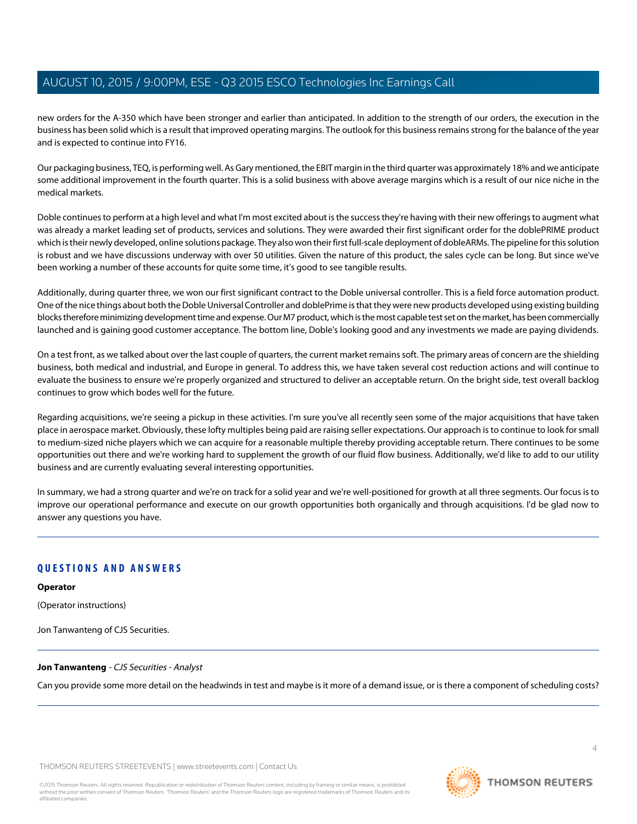new orders for the A-350 which have been stronger and earlier than anticipated. In addition to the strength of our orders, the execution in the business has been solid which is a result that improved operating margins. The outlook for this business remains strong for the balance of the year and is expected to continue into FY16.

Our packaging business, TEQ, is performing well. As Gary mentioned, the EBIT margin in the third quarter was approximately 18% and we anticipate some additional improvement in the fourth quarter. This is a solid business with above average margins which is a result of our nice niche in the medical markets.

Doble continues to perform at a high level and what I'm most excited about is the success they're having with their new offerings to augment what was already a market leading set of products, services and solutions. They were awarded their first significant order for the doblePRIME product which is their newly developed, online solutions package. They also won their first full-scale deployment of dobleARMs. The pipeline for this solution is robust and we have discussions underway with over 50 utilities. Given the nature of this product, the sales cycle can be long. But since we've been working a number of these accounts for quite some time, it's good to see tangible results.

Additionally, during quarter three, we won our first significant contract to the Doble universal controller. This is a field force automation product. One of the nice things about both the Doble Universal Controller and doblePrime is that they were new products developed using existing building blocks therefore minimizing development time and expense. Our M7 product, which is the most capable test set on the market, has been commercially launched and is gaining good customer acceptance. The bottom line, Doble's looking good and any investments we made are paying dividends.

On a test front, as we talked about over the last couple of quarters, the current market remains soft. The primary areas of concern are the shielding business, both medical and industrial, and Europe in general. To address this, we have taken several cost reduction actions and will continue to evaluate the business to ensure we're properly organized and structured to deliver an acceptable return. On the bright side, test overall backlog continues to grow which bodes well for the future.

Regarding acquisitions, we're seeing a pickup in these activities. I'm sure you've all recently seen some of the major acquisitions that have taken place in aerospace market. Obviously, these lofty multiples being paid are raising seller expectations. Our approach is to continue to look for small to medium-sized niche players which we can acquire for a reasonable multiple thereby providing acceptable return. There continues to be some opportunities out there and we're working hard to supplement the growth of our fluid flow business. Additionally, we'd like to add to our utility business and are currently evaluating several interesting opportunities.

In summary, we had a strong quarter and we're on track for a solid year and we're well-positioned for growth at all three segments. Our focus is to improve our operational performance and execute on our growth opportunities both organically and through acquisitions. I'd be glad now to answer any questions you have.

## **QUESTIONS AND ANSWERS**

**Operator**

<span id="page-3-0"></span>(Operator instructions)

Jon Tanwanteng of CJS Securities.

#### **Jon Tanwanteng** - CJS Securities - Analyst

Can you provide some more detail on the headwinds in test and maybe is it more of a demand issue, or is there a component of scheduling costs?

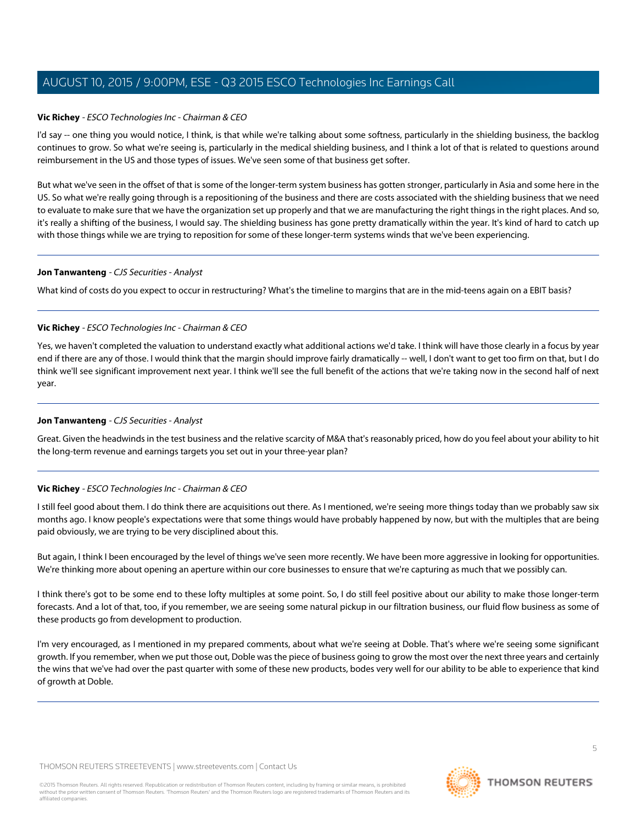#### **Vic Richey** - ESCO Technologies Inc - Chairman & CEO

I'd say -- one thing you would notice, I think, is that while we're talking about some softness, particularly in the shielding business, the backlog continues to grow. So what we're seeing is, particularly in the medical shielding business, and I think a lot of that is related to questions around reimbursement in the US and those types of issues. We've seen some of that business get softer.

But what we've seen in the offset of that is some of the longer-term system business has gotten stronger, particularly in Asia and some here in the US. So what we're really going through is a repositioning of the business and there are costs associated with the shielding business that we need to evaluate to make sure that we have the organization set up properly and that we are manufacturing the right things in the right places. And so, it's really a shifting of the business, I would say. The shielding business has gone pretty dramatically within the year. It's kind of hard to catch up with those things while we are trying to reposition for some of these longer-term systems winds that we've been experiencing.

#### **Jon Tanwanteng** - CJS Securities - Analyst

What kind of costs do you expect to occur in restructuring? What's the timeline to margins that are in the mid-teens again on a EBIT basis?

#### **Vic Richey** - ESCO Technologies Inc - Chairman & CEO

Yes, we haven't completed the valuation to understand exactly what additional actions we'd take. I think will have those clearly in a focus by year end if there are any of those. I would think that the margin should improve fairly dramatically -- well, I don't want to get too firm on that, but I do think we'll see significant improvement next year. I think we'll see the full benefit of the actions that we're taking now in the second half of next year.

#### **Jon Tanwanteng** - CJS Securities - Analyst

Great. Given the headwinds in the test business and the relative scarcity of M&A that's reasonably priced, how do you feel about your ability to hit the long-term revenue and earnings targets you set out in your three-year plan?

#### **Vic Richey** - ESCO Technologies Inc - Chairman & CEO

I still feel good about them. I do think there are acquisitions out there. As I mentioned, we're seeing more things today than we probably saw six months ago. I know people's expectations were that some things would have probably happened by now, but with the multiples that are being paid obviously, we are trying to be very disciplined about this.

But again, I think I been encouraged by the level of things we've seen more recently. We have been more aggressive in looking for opportunities. We're thinking more about opening an aperture within our core businesses to ensure that we're capturing as much that we possibly can.

I think there's got to be some end to these lofty multiples at some point. So, I do still feel positive about our ability to make those longer-term forecasts. And a lot of that, too, if you remember, we are seeing some natural pickup in our filtration business, our fluid flow business as some of these products go from development to production.

I'm very encouraged, as I mentioned in my prepared comments, about what we're seeing at Doble. That's where we're seeing some significant growth. If you remember, when we put those out, Doble was the piece of business going to grow the most over the next three years and certainly the wins that we've had over the past quarter with some of these new products, bodes very well for our ability to be able to experience that kind of growth at Doble.

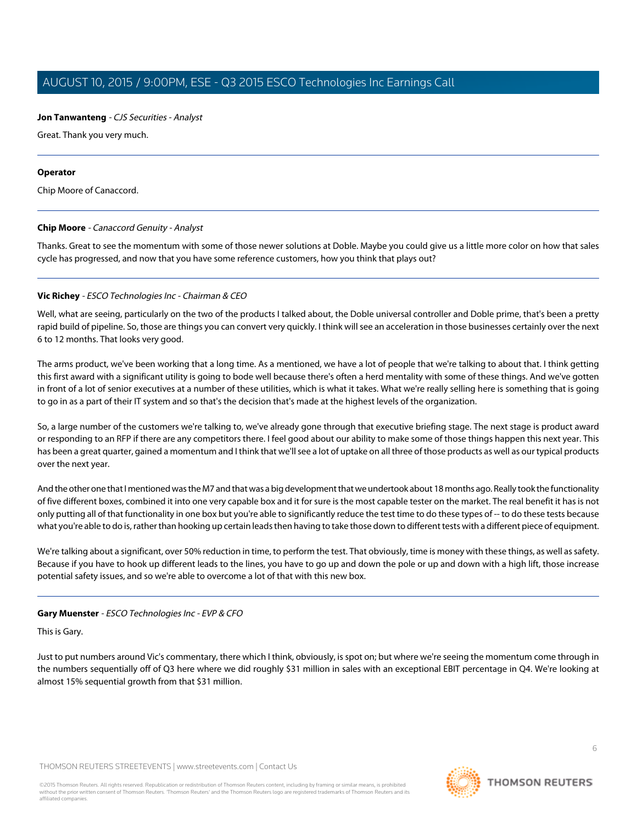#### **Jon Tanwanteng** - CJS Securities - Analyst

Great. Thank you very much.

#### **Operator**

<span id="page-5-0"></span>Chip Moore of Canaccord.

#### **Chip Moore** - Canaccord Genuity - Analyst

Thanks. Great to see the momentum with some of those newer solutions at Doble. Maybe you could give us a little more color on how that sales cycle has progressed, and now that you have some reference customers, how you think that plays out?

#### **Vic Richey** - ESCO Technologies Inc - Chairman & CEO

Well, what are seeing, particularly on the two of the products I talked about, the Doble universal controller and Doble prime, that's been a pretty rapid build of pipeline. So, those are things you can convert very quickly. I think will see an acceleration in those businesses certainly over the next 6 to 12 months. That looks very good.

The arms product, we've been working that a long time. As a mentioned, we have a lot of people that we're talking to about that. I think getting this first award with a significant utility is going to bode well because there's often a herd mentality with some of these things. And we've gotten in front of a lot of senior executives at a number of these utilities, which is what it takes. What we're really selling here is something that is going to go in as a part of their IT system and so that's the decision that's made at the highest levels of the organization.

So, a large number of the customers we're talking to, we've already gone through that executive briefing stage. The next stage is product award or responding to an RFP if there are any competitors there. I feel good about our ability to make some of those things happen this next year. This has been a great quarter, gained a momentum and I think that we'll see a lot of uptake on all three of those products as well as our typical products over the next year.

And the other one that I mentioned was the M7 and that was a big development that we undertook about 18 months ago. Really took the functionality of five different boxes, combined it into one very capable box and it for sure is the most capable tester on the market. The real benefit it has is not only putting all of that functionality in one box but you're able to significantly reduce the test time to do these types of -- to do these tests because what you're able to do is, rather than hooking up certain leads then having to take those down to different tests with a different piece of equipment.

We're talking about a significant, over 50% reduction in time, to perform the test. That obviously, time is money with these things, as well as safety. Because if you have to hook up different leads to the lines, you have to go up and down the pole or up and down with a high lift, those increase potential safety issues, and so we're able to overcome a lot of that with this new box.

#### **Gary Muenster** - ESCO Technologies Inc - EVP & CFO

This is Gary.

Just to put numbers around Vic's commentary, there which I think, obviously, is spot on; but where we're seeing the momentum come through in the numbers sequentially off of Q3 here where we did roughly \$31 million in sales with an exceptional EBIT percentage in Q4. We're looking at almost 15% sequential growth from that \$31 million.

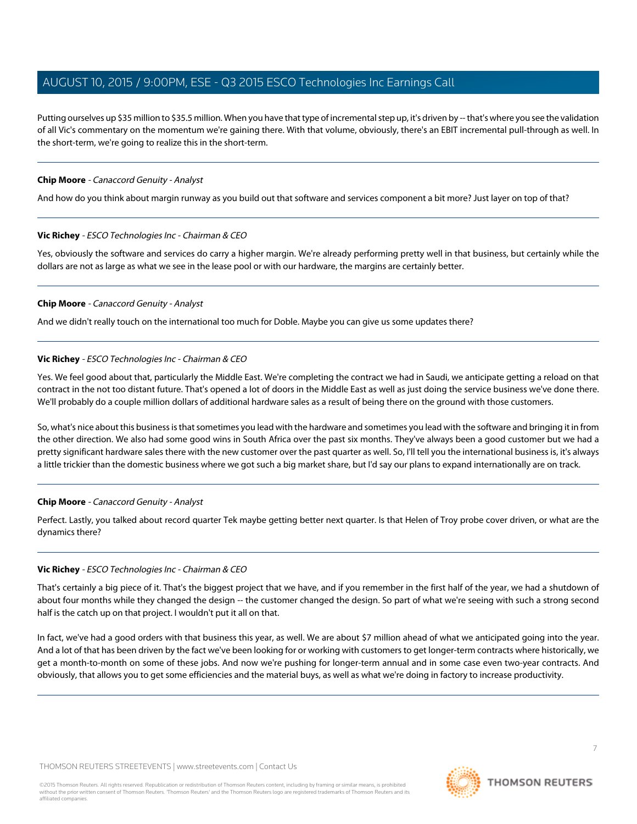Putting ourselves up \$35 million to \$35.5 million. When you have that type of incremental step up, it's driven by -- that's where you see the validation of all Vic's commentary on the momentum we're gaining there. With that volume, obviously, there's an EBIT incremental pull-through as well. In the short-term, we're going to realize this in the short-term.

#### **Chip Moore** - Canaccord Genuity - Analyst

And how do you think about margin runway as you build out that software and services component a bit more? Just layer on top of that?

#### **Vic Richey** - ESCO Technologies Inc - Chairman & CEO

Yes, obviously the software and services do carry a higher margin. We're already performing pretty well in that business, but certainly while the dollars are not as large as what we see in the lease pool or with our hardware, the margins are certainly better.

#### **Chip Moore** - Canaccord Genuity - Analyst

And we didn't really touch on the international too much for Doble. Maybe you can give us some updates there?

#### **Vic Richey** - ESCO Technologies Inc - Chairman & CEO

Yes. We feel good about that, particularly the Middle East. We're completing the contract we had in Saudi, we anticipate getting a reload on that contract in the not too distant future. That's opened a lot of doors in the Middle East as well as just doing the service business we've done there. We'll probably do a couple million dollars of additional hardware sales as a result of being there on the ground with those customers.

So, what's nice about this business is that sometimes you lead with the hardware and sometimes you lead with the software and bringing it in from the other direction. We also had some good wins in South Africa over the past six months. They've always been a good customer but we had a pretty significant hardware sales there with the new customer over the past quarter as well. So, I'll tell you the international business is, it's always a little trickier than the domestic business where we got such a big market share, but I'd say our plans to expand internationally are on track.

#### **Chip Moore** - Canaccord Genuity - Analyst

Perfect. Lastly, you talked about record quarter Tek maybe getting better next quarter. Is that Helen of Troy probe cover driven, or what are the dynamics there?

#### **Vic Richey** - ESCO Technologies Inc - Chairman & CEO

That's certainly a big piece of it. That's the biggest project that we have, and if you remember in the first half of the year, we had a shutdown of about four months while they changed the design -- the customer changed the design. So part of what we're seeing with such a strong second half is the catch up on that project. I wouldn't put it all on that.

In fact, we've had a good orders with that business this year, as well. We are about \$7 million ahead of what we anticipated going into the year. And a lot of that has been driven by the fact we've been looking for or working with customers to get longer-term contracts where historically, we get a month-to-month on some of these jobs. And now we're pushing for longer-term annual and in some case even two-year contracts. And obviously, that allows you to get some efficiencies and the material buys, as well as what we're doing in factory to increase productivity.

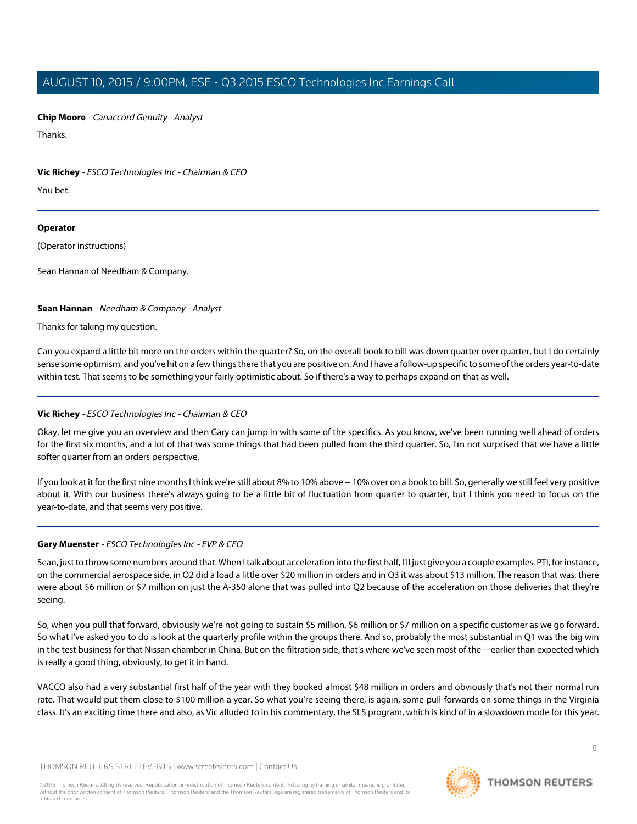**Chip Moore** - Canaccord Genuity - Analyst

Thanks.

#### **Vic Richey** - ESCO Technologies Inc - Chairman & CEO

You bet.

#### **Operator**

(Operator instructions)

<span id="page-7-0"></span>Sean Hannan of Needham & Company.

#### **Sean Hannan** - Needham & Company - Analyst

Thanks for taking my question.

Can you expand a little bit more on the orders within the quarter? So, on the overall book to bill was down quarter over quarter, but I do certainly sense some optimism, and you've hit on a few things there that you are positive on. And I have a follow-up specific to some of the orders year-to-date within test. That seems to be something your fairly optimistic about. So if there's a way to perhaps expand on that as well.

#### **Vic Richey** - ESCO Technologies Inc - Chairman & CEO

Okay, let me give you an overview and then Gary can jump in with some of the specifics. As you know, we've been running well ahead of orders for the first six months, and a lot of that was some things that had been pulled from the third quarter. So, I'm not surprised that we have a little softer quarter from an orders perspective.

If you look at it for the first nine months I think we're still about 8% to 10% above -- 10% over on a book to bill. So, generally we still feel very positive about it. With our business there's always going to be a little bit of fluctuation from quarter to quarter, but I think you need to focus on the year-to-date, and that seems very positive.

#### **Gary Muenster** - ESCO Technologies Inc - EVP & CFO

Sean, just to throw some numbers around that. When I talk about acceleration into the first half, I'll just give you a couple examples. PTI, for instance, on the commercial aerospace side, in Q2 did a load a little over \$20 million in orders and in Q3 it was about \$13 million. The reason that was, there were about \$6 million or \$7 million on just the A-350 alone that was pulled into Q2 because of the acceleration on those deliveries that they're seeing.

So, when you pull that forward, obviously we're not going to sustain \$5 million, \$6 million or \$7 million on a specific customer as we go forward. So what I've asked you to do is look at the quarterly profile within the groups there. And so, probably the most substantial in Q1 was the big win in the test business for that Nissan chamber in China. But on the filtration side, that's where we've seen most of the -- earlier than expected which is really a good thing, obviously, to get it in hand.

VACCO also had a very substantial first half of the year with they booked almost \$48 million in orders and obviously that's not their normal run rate. That would put them close to \$100 million a year. So what you're seeing there, is again, some pull-forwards on some things in the Virginia class. It's an exciting time there and also, as Vic alluded to in his commentary, the SLS program, which is kind of in a slowdown mode for this year.

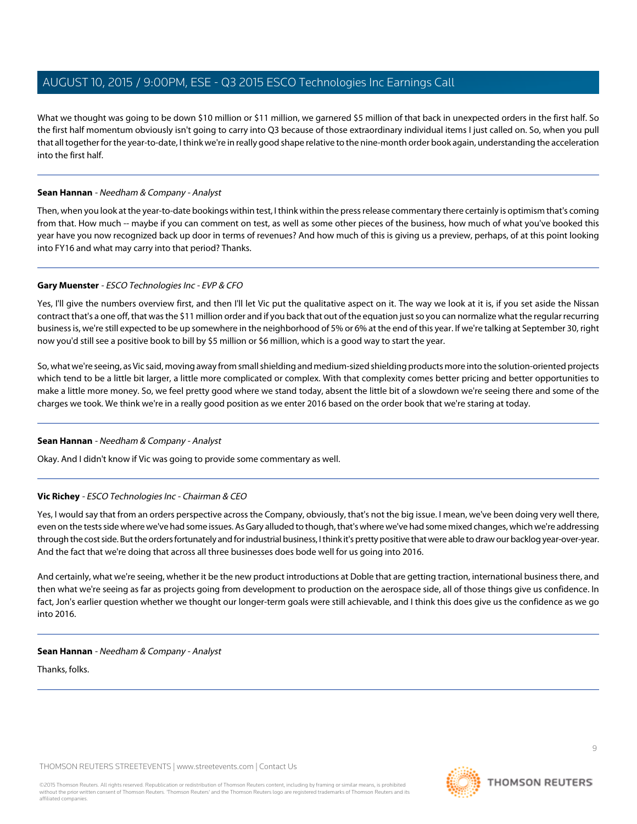What we thought was going to be down \$10 million or \$11 million, we garnered \$5 million of that back in unexpected orders in the first half. So the first half momentum obviously isn't going to carry into Q3 because of those extraordinary individual items I just called on. So, when you pull that all together for the year-to-date, I think we're in really good shape relative to the nine-month order book again, understanding the acceleration into the first half.

#### **Sean Hannan** - Needham & Company - Analyst

Then, when you look at the year-to-date bookings within test, I think within the press release commentary there certainly is optimism that's coming from that. How much -- maybe if you can comment on test, as well as some other pieces of the business, how much of what you've booked this year have you now recognized back up door in terms of revenues? And how much of this is giving us a preview, perhaps, of at this point looking into FY16 and what may carry into that period? Thanks.

#### **Gary Muenster** - ESCO Technologies Inc - EVP & CFO

Yes, I'll give the numbers overview first, and then I'll let Vic put the qualitative aspect on it. The way we look at it is, if you set aside the Nissan contract that's a one off, that was the \$11 million order and if you back that out of the equation just so you can normalize what the regular recurring business is, we're still expected to be up somewhere in the neighborhood of 5% or 6% at the end of this year. If we're talking at September 30, right now you'd still see a positive book to bill by \$5 million or \$6 million, which is a good way to start the year.

So, what we're seeing, as Vic said, moving away from small shielding and medium-sized shielding products more into the solution-oriented projects which tend to be a little bit larger, a little more complicated or complex. With that complexity comes better pricing and better opportunities to make a little more money. So, we feel pretty good where we stand today, absent the little bit of a slowdown we're seeing there and some of the charges we took. We think we're in a really good position as we enter 2016 based on the order book that we're staring at today.

#### **Sean Hannan** - Needham & Company - Analyst

Okay. And I didn't know if Vic was going to provide some commentary as well.

#### **Vic Richey** - ESCO Technologies Inc - Chairman & CEO

Yes, I would say that from an orders perspective across the Company, obviously, that's not the big issue. I mean, we've been doing very well there, even on the tests side where we've had some issues. As Gary alluded to though, that's where we've had some mixed changes, which we're addressing through the cost side. But the orders fortunately and for industrial business, I think it's pretty positive that were able to draw our backlog year-over-year. And the fact that we're doing that across all three businesses does bode well for us going into 2016.

And certainly, what we're seeing, whether it be the new product introductions at Doble that are getting traction, international business there, and then what we're seeing as far as projects going from development to production on the aerospace side, all of those things give us confidence. In fact, Jon's earlier question whether we thought our longer-term goals were still achievable, and I think this does give us the confidence as we go into 2016.

#### **Sean Hannan** - Needham & Company - Analyst

Thanks, folks.



**THOMSON REUTERS**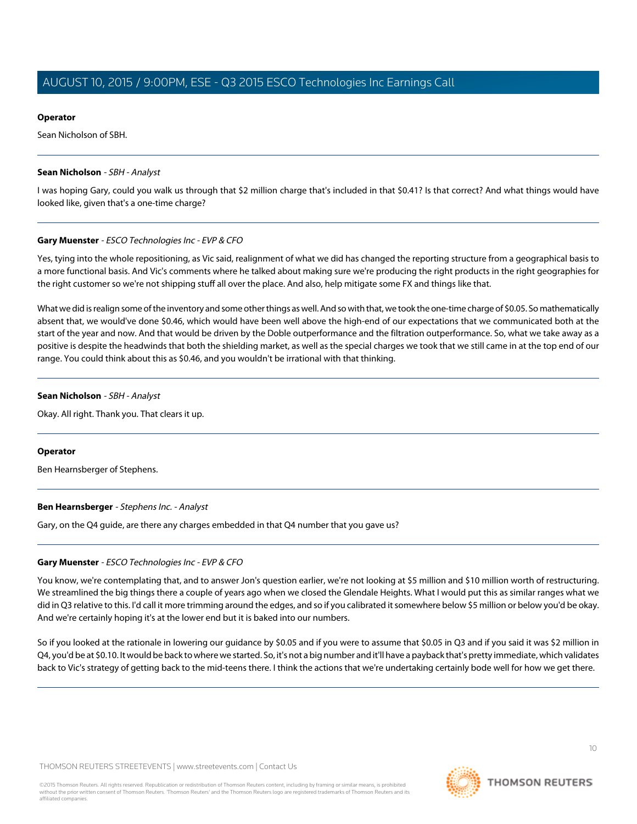#### **Operator**

Sean Nicholson of SBH.

#### <span id="page-9-0"></span>**Sean Nicholson** - SBH - Analyst

I was hoping Gary, could you walk us through that \$2 million charge that's included in that \$0.41? Is that correct? And what things would have looked like, given that's a one-time charge?

#### **Gary Muenster** - ESCO Technologies Inc - EVP & CFO

Yes, tying into the whole repositioning, as Vic said, realignment of what we did has changed the reporting structure from a geographical basis to a more functional basis. And Vic's comments where he talked about making sure we're producing the right products in the right geographies for the right customer so we're not shipping stuff all over the place. And also, help mitigate some FX and things like that.

What we did is realign some of the inventory and some other things as well. And so with that, we took the one-time charge of \$0.05. So mathematically absent that, we would've done \$0.46, which would have been well above the high-end of our expectations that we communicated both at the start of the year and now. And that would be driven by the Doble outperformance and the filtration outperformance. So, what we take away as a positive is despite the headwinds that both the shielding market, as well as the special charges we took that we still came in at the top end of our range. You could think about this as \$0.46, and you wouldn't be irrational with that thinking.

#### **Sean Nicholson** - SBH - Analyst

Okay. All right. Thank you. That clears it up.

#### <span id="page-9-1"></span>**Operator**

Ben Hearnsberger of Stephens.

#### **Ben Hearnsberger** - Stephens Inc. - Analyst

Gary, on the Q4 guide, are there any charges embedded in that Q4 number that you gave us?

#### **Gary Muenster** - ESCO Technologies Inc - EVP & CFO

You know, we're contemplating that, and to answer Jon's question earlier, we're not looking at \$5 million and \$10 million worth of restructuring. We streamlined the big things there a couple of years ago when we closed the Glendale Heights. What I would put this as similar ranges what we did in Q3 relative to this. I'd call it more trimming around the edges, and so if you calibrated it somewhere below \$5 million or below you'd be okay. And we're certainly hoping it's at the lower end but it is baked into our numbers.

So if you looked at the rationale in lowering our guidance by \$0.05 and if you were to assume that \$0.05 in Q3 and if you said it was \$2 million in Q4, you'd be at \$0.10. It would be back to where we started. So, it's not a big number and it'll have a payback that's pretty immediate, which validates back to Vic's strategy of getting back to the mid-teens there. I think the actions that we're undertaking certainly bode well for how we get there.

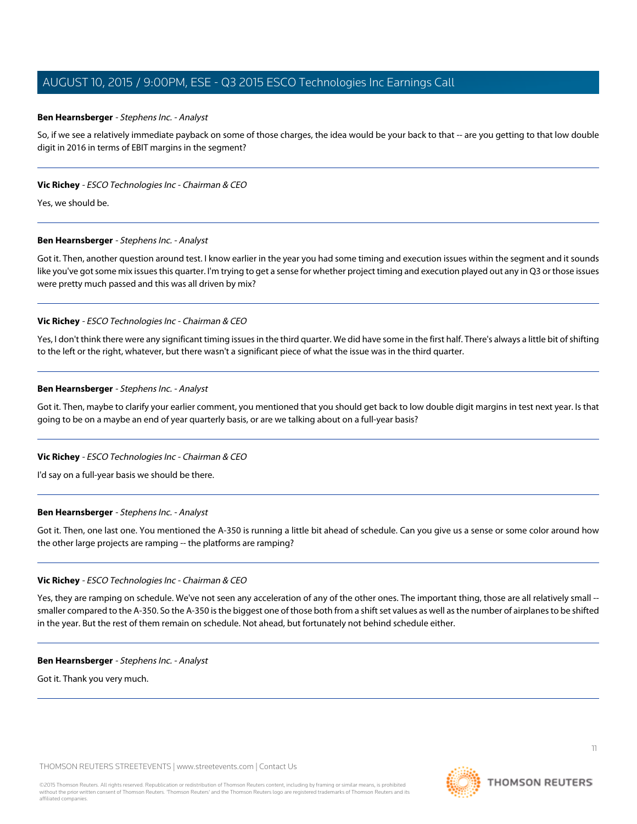#### **Ben Hearnsberger** - Stephens Inc. - Analyst

So, if we see a relatively immediate payback on some of those charges, the idea would be your back to that -- are you getting to that low double digit in 2016 in terms of EBIT margins in the segment?

#### **Vic Richey** - ESCO Technologies Inc - Chairman & CEO

Yes, we should be.

#### **Ben Hearnsberger** - Stephens Inc. - Analyst

Got it. Then, another question around test. I know earlier in the year you had some timing and execution issues within the segment and it sounds like you've got some mix issues this quarter. I'm trying to get a sense for whether project timing and execution played out any in Q3 or those issues were pretty much passed and this was all driven by mix?

#### **Vic Richey** - ESCO Technologies Inc - Chairman & CEO

Yes, I don't think there were any significant timing issues in the third quarter. We did have some in the first half. There's always a little bit of shifting to the left or the right, whatever, but there wasn't a significant piece of what the issue was in the third quarter.

#### **Ben Hearnsberger** - Stephens Inc. - Analyst

Got it. Then, maybe to clarify your earlier comment, you mentioned that you should get back to low double digit margins in test next year. Is that going to be on a maybe an end of year quarterly basis, or are we talking about on a full-year basis?

#### **Vic Richey** - ESCO Technologies Inc - Chairman & CEO

I'd say on a full-year basis we should be there.

#### **Ben Hearnsberger** - Stephens Inc. - Analyst

Got it. Then, one last one. You mentioned the A-350 is running a little bit ahead of schedule. Can you give us a sense or some color around how the other large projects are ramping -- the platforms are ramping?

#### **Vic Richey** - ESCO Technologies Inc - Chairman & CEO

Yes, they are ramping on schedule. We've not seen any acceleration of any of the other ones. The important thing, those are all relatively small - smaller compared to the A-350. So the A-350 is the biggest one of those both from a shift set values as well as the number of airplanes to be shifted in the year. But the rest of them remain on schedule. Not ahead, but fortunately not behind schedule either.

#### **Ben Hearnsberger** - Stephens Inc. - Analyst

Got it. Thank you very much.